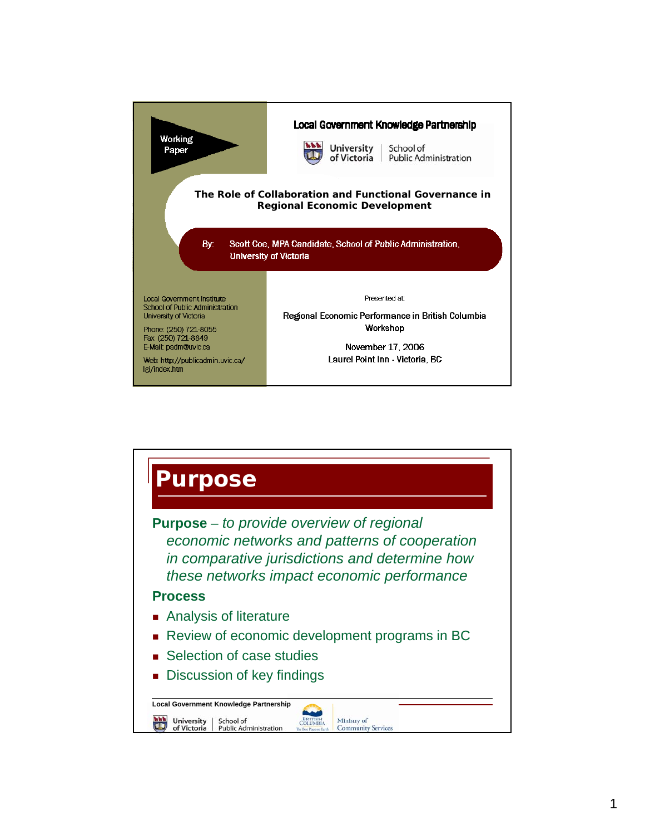

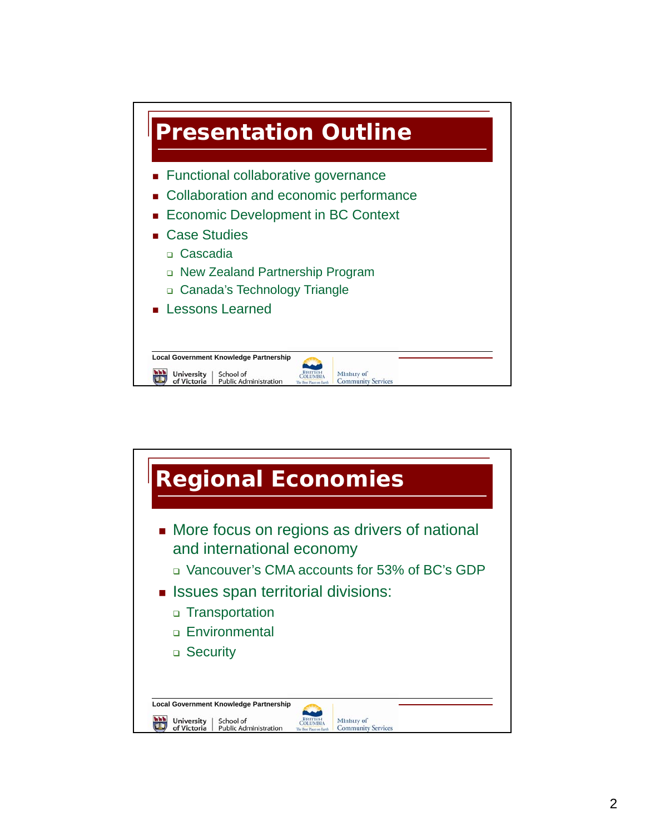

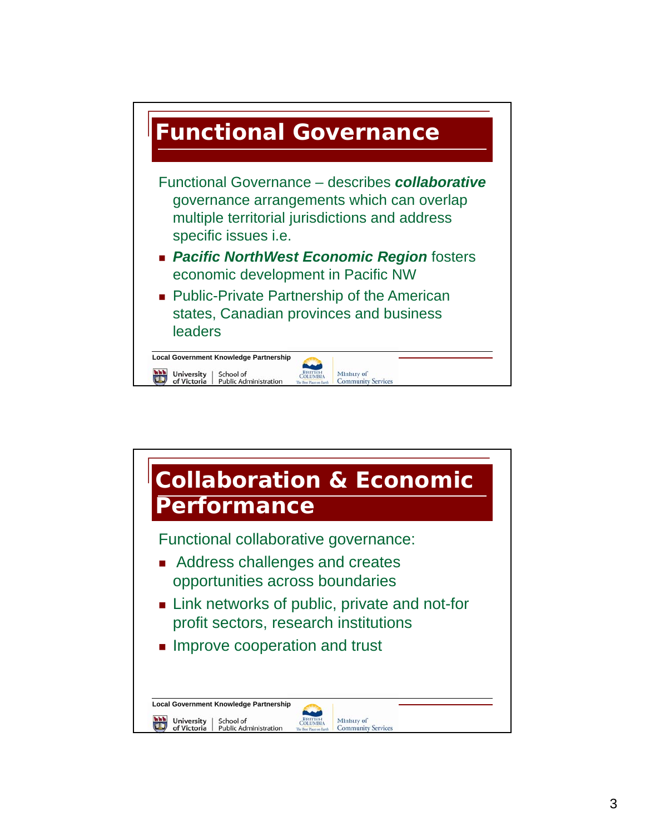

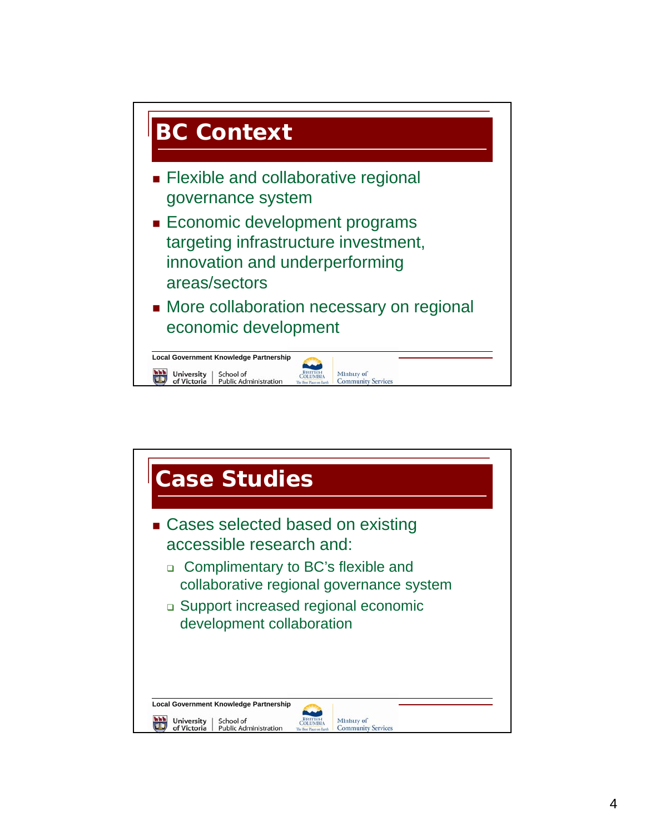

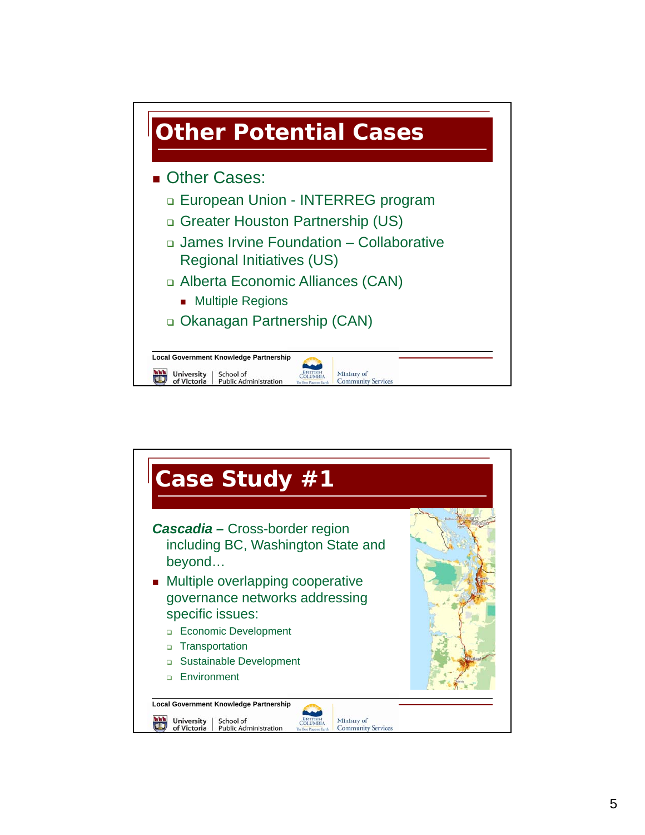

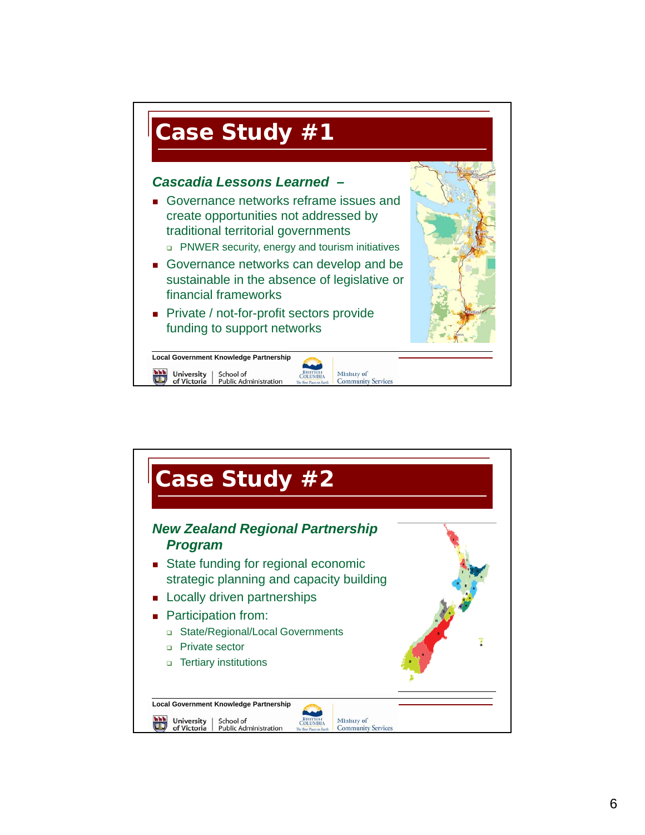

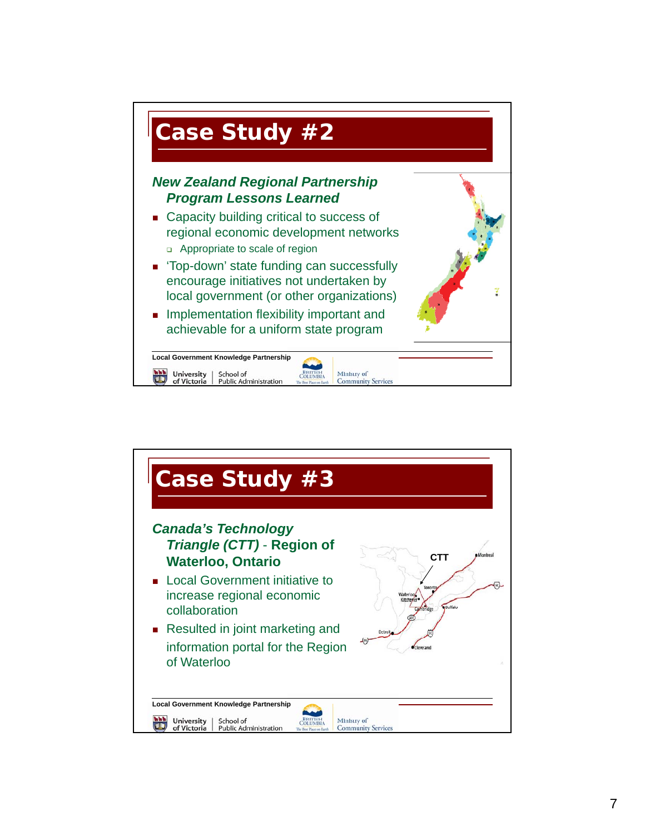